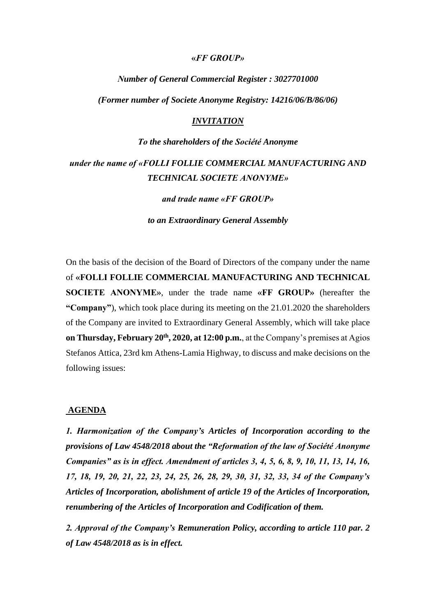#### **«***FF GROUP»*

*Νumber of General Commercial Register : 3027701000*

*(Former number οf Societe Anonyme Registry: 14216/06/B/86/06)*

### *INVITATION*

## *Το the shareholders of the Société Anonyme*

# *under the name of «FOLLI FOLLIE COMMERCIAL MANUFACTURING AND TECHNICAL SOCIETE ANONYME»*

*and trade name «FF GROUP»*

*to an Extraordinary General Assembly*

On the basis of the decision of the Board of Directors of the company under the name of **«FOLLI FOLLIE COMMERCIAL MANUFACTURING AND TECHNICAL SOCIETE ANONYME»**, under the trade name **«FF GROUP»** (hereafter the **"Company"**), which took place during its meeting on the 21.01.2020 the shareholders of the Company are invited to Extraordinary General Assembly, which will take place **on Thursday, February 20th , 2020, at 12:00 p.m.**, at the Company's premises at Agios Stefanos Attica, 23rd km Athens-Lamia Highway, to discuss and make decisions on the following issues:

#### **AGENDA**

*1. Harmonization of the Company's Articles of Incorporation according to the provisions of Law 4548/2018 about the "Reformation of the law of Société Anonyme Companies" as is in effect. Amendment of articles 3, 4, 5, 6, 8, 9, 10, 11, 13, 14, 16, 17, 18, 19, 20, 21, 22, 23, 24, 25, 26, 28, 29, 30, 31, 32, 33, 34 of the Company's Articles of Incorporation, abolishment of article 19 of the Articles of Incorporation, renumbering of the Articles of Incorporation and Codification of them.*

*2. Approval of the Company's Remuneration Policy, according to article 110 par. 2 of Law 4548/2018 as is in effect.*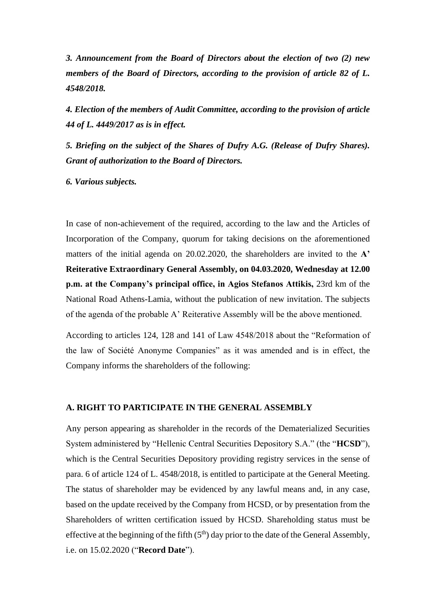*3. Announcement from the Board of Directors about the election of two (2) new members of the Board of Directors, according to the provision of article 82 of L. 4548/2018.*

*4. Election of the members of Audit Committee, according to the provision of article 44 of L. 4449/2017 as is in effect.*

*5. Briefing on the subject of the Shares of Dufry A.G. (Release of Dufry Shares). Grant of authorization to the Board of Directors.*

*6. Various subjects.*

In case of non-achievement οf the required, according to the law and the Articles of Incorporation of the Company, quorum for taking decisions on the aforementioned matters of the initial agenda on 20.02.2020, the shareholders are invited to the **A' Reiterative Extraordinary General Assembly, on 04.03.2020, Wednesday at 12.00 p.m. at the Company's principal office, in Agios Stefanos Attikis,** 23rd km of the National Road Athens-Lamia, without the publication of new invitation. The subjects of the agenda of the probable A' Reiterative Assembly will be the above mentioned.

According to articles 124, 128 and 141 οf Law 4548/2018 about the "Reformation of the law of Société Anonyme Companies" as it was amended and is in effect, the Company informs the shareholders of the following:

## **A. RIGHT TO PARTICIPATE IN THE GENERAL ASSEMBLY**

Any person appearing as shareholder in the records of the Dematerialized Securities System administered by "Hellenic Central Securities Depository S.A." (the "**HCSD**"), which is the Central Securities Depository providing registry services in the sense of para. 6 of article 124 of L. 4548/2018, is entitled to participate at the General Meeting. The status of shareholder may be evidenced by any lawful means and, in any case, based on the update received by the Company from HCSD, or by presentation from the Shareholders of written certification issued by HCSD. Shareholding status must be effective at the beginning of the fifth  $(5<sup>th</sup>)$  day prior to the date of the General Assembly, i.e. on 15.02.2020 ("**Record Date**").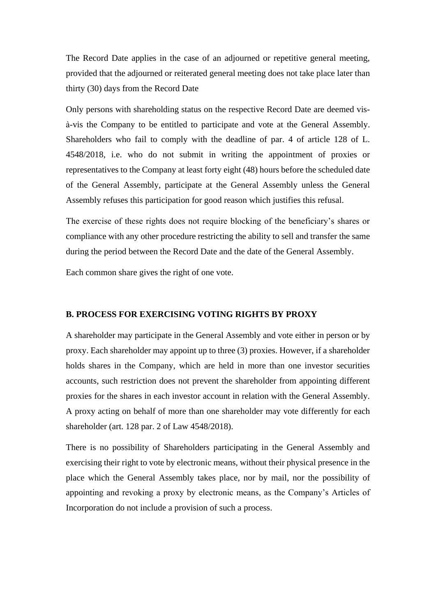The Record Date applies in the case of an adjourned or repetitive general meeting, provided that the adjourned or reiterated general meeting does not take place later than thirty (30) days from the Record Date

Only persons with shareholding status on the respective Record Date are deemed visà-vis the Company to be entitled to participate and vote at the General Assembly. Shareholders who fail to comply with the deadline of par. 4 of article 128 of L. 4548/2018, i.e. who do not submit in writing the appointment of proxies or representatives to the Company at least forty eight (48) hours before the scheduled date of the General Assembly, participate at the General Assembly unless the General Assembly refuses this participation for good reason which justifies this refusal.

The exercise of these rights does not require blocking of the beneficiary's shares or compliance with any other procedure restricting the ability to sell and transfer the same during the period between the Record Date and the date of the General Assembly.

Each common share gives the right of one vote.

#### **B. PROCESS FOR EXERCISING VOTING RIGHTS BY PROXY**

A shareholder may participate in the General Assembly and vote either in person or by proxy. Each shareholder may appoint up to three (3) proxies. However, if a shareholder holds shares in the Company, which are held in more than one investor securities accounts, such restriction does not prevent the shareholder from appointing different proxies for the shares in each investor account in relation with the General Assembly. A proxy acting on behalf of more than one shareholder may vote differently for each shareholder (art. 128 par. 2 of Law 4548/2018).

There is no possibility of Shareholders participating in the General Assembly and exercising their right to vote by electronic means, without their physical presence in the place which the General Assembly takes place, nor by mail, nor the possibility of appointing and revoking a proxy by electronic means, as the Company's Articles of Incorporation do not include a provision of such a process.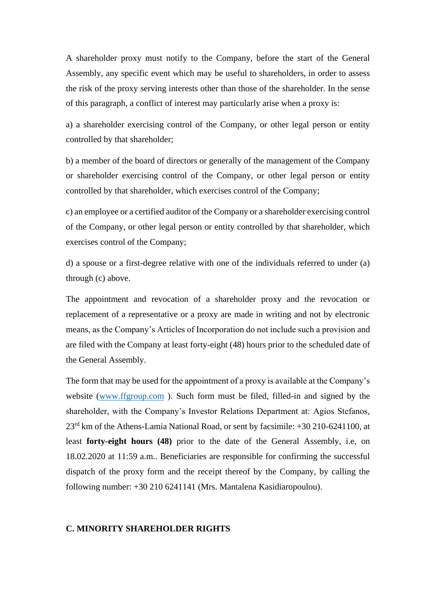A shareholder proxy must notify to the Company, before the start of the General Assembly, any specific event which may be useful to shareholders, in order to assess the risk of the proxy serving interests other than those of the shareholder. In the sense of this paragraph, a conflict of interest may particularly arise when a proxy is:

a) a shareholder exercising control of the Company, or other legal person or entity controlled by that shareholder;

b) a member of the board of directors or generally of the management of the Company or shareholder exercising control of the Company, or other legal person or entity controlled by that shareholder, which exercises control of the Company;

c) an employee or a certified auditor of the Company or a shareholder exercising control of the Company, or other legal person or entity controlled by that shareholder, which exercises control of the Company;

d) a spouse or a first-degree relative with one of the individuals referred to under (a) through (c) above.

The appointment and revocation of a shareholder proxy and the revocation or replacement of a representative or a proxy are made in writing and not by electronic means, as the Company's Articles of Incorporation do not include such a provision and are filed with the Company at least forty-eight (48) hours prior to the scheduled date of the General Assembly.

The form that may be used for the appointment of a proxy is available at the Company's website [\(www.ffgroup.com](http://www.ffgroup.com/) ). Such form must be filed, filled-in and signed by the shareholder, with the Company's Investor Relations Department at: Agios Stefanos, 23rd km of the Athens-Lamia National Road, or sent by facsimile: +30 210-6241100, at least **forty-eight hours (48)** prior to the date of the General Assembly, i.e, on 18.02.2020 at 11:59 a.m.. Beneficiaries are responsible for confirming the successful dispatch of the proxy form and the receipt thereof by the Company, by calling the following number: +30 210 6241141 (Mrs. Mantalena Kasidiaropoulou).

### **C. MINORITY SHAREHOLDER RIGHTS**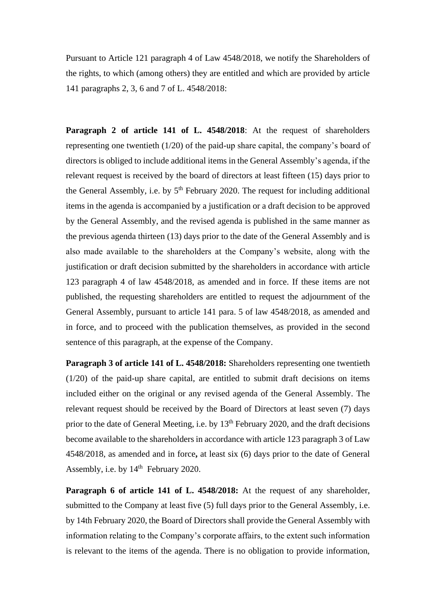Pursuant to Article 121 paragraph 4 of Law 4548/2018, we notify the Shareholders of the rights, to which (among others) they are entitled and which are provided by article 141 paragraphs 2, 3, 6 and 7 of L. 4548/2018:

**Paragraph 2 of article 141 of L. 4548/2018**: At the request of shareholders representing one twentieth (1/20) of the paid-up share capital, the company's board of directors is obliged to include additional items in the General Assembly's agenda, if the relevant request is received by the board of directors at least fifteen (15) days prior to the General Assembly, i.e. by  $5<sup>th</sup>$  February 2020. The request for including additional items in the agenda is accompanied by a justification or a draft decision to be approved by the General Assembly, and the revised agenda is published in the same manner as the previous agenda thirteen (13) days prior to the date of the General Assembly and is also made available to the shareholders at the Company's website, along with the justification or draft decision submitted by the shareholders in accordance with article 123 paragraph 4 of law 4548/2018, as amended and in force. If these items are not published, the requesting shareholders are entitled to request the adjournment of the General Assembly, pursuant to article 141 para. 5 of law 4548/2018, as amended and in force, and to proceed with the publication themselves, as provided in the second sentence of this paragraph, at the expense of the Company.

**Paragraph 3 of article 141 of L. 4548/2018:** Shareholders representing one twentieth (1/20) of the paid-up share capital, are entitled to submit draft decisions on items included either on the original or any revised agenda of the General Assembly. The relevant request should be received by the Board of Directors at least seven (7) days prior to the date of General Meeting, i.e. by  $13<sup>th</sup>$  February 2020, and the draft decisions become available to the shareholders in accordance with article 123 paragraph 3 of Law 4548/2018, as amended and in force**,** at least six (6) days prior to the date of General Assembly, i.e. by  $14<sup>th</sup>$  February 2020.

**Paragraph 6 of article 141 of L. 4548/2018:** At the request of any shareholder, submitted to the Company at least five (5) full days prior to the General Assembly, i.e. by 14th February 2020, the Board of Directors shall provide the General Assembly with information relating to the Company's corporate affairs, to the extent such information is relevant to the items of the agenda. There is no obligation to provide information,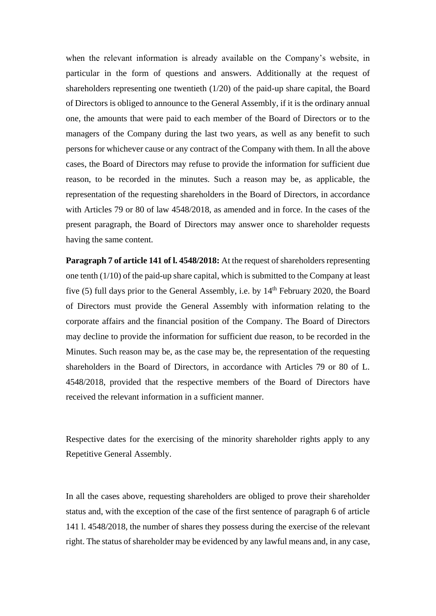when the relevant information is already available on the Company's website, in particular in the form of questions and answers. Additionally at the request of shareholders representing one twentieth (1/20) of the paid-up share capital, the Board of Directors is obliged to announce to the General Assembly, if it is the ordinary annual one, the amounts that were paid to each member of the Board of Directors or to the managers of the Company during the last two years, as well as any benefit to such persons for whichever cause or any contract of the Company with them. In all the above cases, the Board of Directors may refuse to provide the information for sufficient due reason, to be recorded in the minutes. Such a reason may be, as applicable, the representation of the requesting shareholders in the Board of Directors, in accordance with Articles 79 or 80 of law 4548/2018, as amended and in force. In the cases of the present paragraph, the Board of Directors may answer once to shareholder requests having the same content.

**Paragraph 7 of article 141 of l. 4548/2018:** At the request of shareholders representing one tenth (1/10) of the paid-up share capital, which is submitted to the Company at least five (5) full days prior to the General Assembly, i.e. by 14<sup>th</sup> February 2020, the Board of Directors must provide the General Assembly with information relating to the corporate affairs and the financial position of the Company. The Board of Directors may decline to provide the information for sufficient due reason, to be recorded in the Minutes. Such reason may be, as the case may be, the representation of the requesting shareholders in the Board of Directors, in accordance with Articles 79 or 80 of L. 4548/2018, provided that the respective members of the Board of Directors have received the relevant information in a sufficient manner.

Respective dates for the exercising of the minority shareholder rights apply to any Repetitive General Assembly.

In all the cases above, requesting shareholders are obliged to prove their shareholder status and, with the exception of the case of the first sentence of paragraph 6 of article 141 l. 4548/2018, the number of shares they possess during the exercise of the relevant right. The status of shareholder may be evidenced by any lawful means and, in any case,